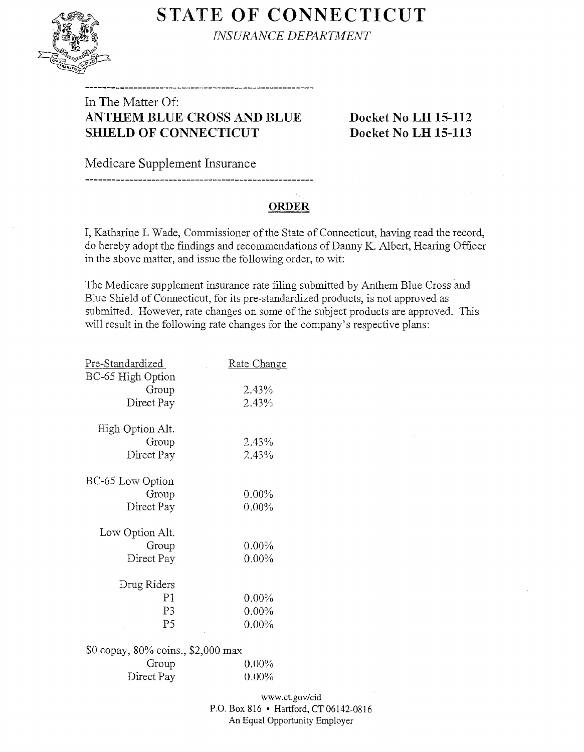# **STATE OF CONNECTICUT**



*lNSURANCE DEPAR1MENT* 

# In The Matter Of: **ANTHEM BLUE CROSS AND BLUE Docket No LH 15-112 SHIELD OF CONNECTICUT Docket No LH 15-113**

Medicare Supplement Insurance

## **ORDER**

I, Katharine L Wade, Commissioner of the State of Connecticut, having read the record, do hereby adopt the fmdings and recommendations of Danny K. Albert, Hearing Officer in the above matter, and issue the following order, to wit:

The Medicare supplement insurance rate filing submitted by Anthem Blue Cross 'and Blue Shield of Connecticut, for its pre-standardized products, is not approved as submitted. However, rate changes on some of the subject products are approved. This will result in the following rate changes for the company's respective plans:

| Pre-Standardized                   | Rate Change |
|------------------------------------|-------------|
| BC-65 High Option                  |             |
| Group                              | 2.43%       |
| Direct Pay                         | 2.43%       |
|                                    |             |
| High Option Alt.                   |             |
| Group                              | 2.43%       |
| Direct Pay                         | 2.43%       |
|                                    |             |
| BC-65 Low Option                   |             |
| Group                              | $0.00\%$    |
| Direct Pay                         | $0.00\%$    |
| Low Option Alt.                    |             |
| Group                              | $0.00\%$    |
| Direct Pay                         | $0.00\%$    |
|                                    |             |
| Drug Riders                        |             |
| P1                                 | $0.00\%$    |
| P3                                 | $0.00\%$    |
| P <sub>5</sub>                     | $0.00\%$    |
|                                    |             |
| \$0 copay, 80% coins., \$2,000 max |             |
| Group                              | $0.00\%$    |
| Direct Pay                         | $0.00\%$    |
|                                    |             |

www.ct.gov/cid P.O. Box 816 • Hartford, CT 06142-0816 An Equal Opportunity Employer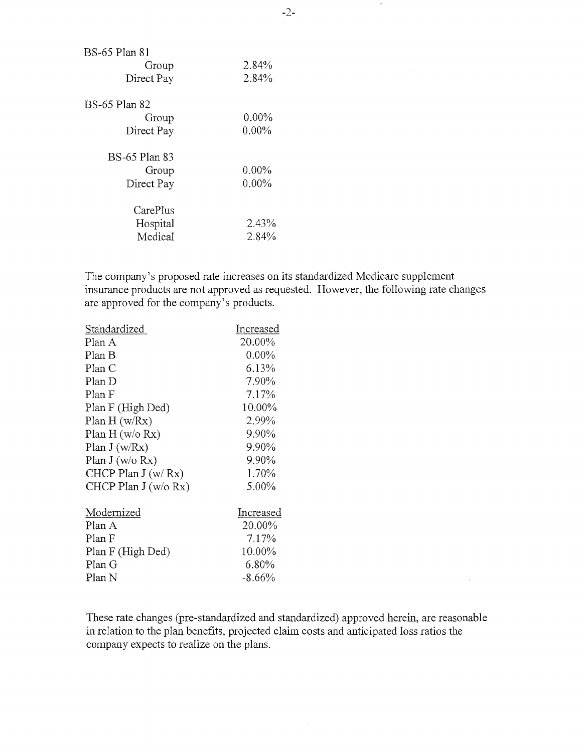| BS-65 Plan 81        |          |
|----------------------|----------|
| Group                | 2.84%    |
| Direct Pay           | 2.84%    |
| BS-65 Plan 82        |          |
| Group                | $0.00\%$ |
| Direct Pay           | $0.00\%$ |
| <b>BS-65 Plan 83</b> |          |
| Group                | $0.00\%$ |
| Direct Pay           | $0.00\%$ |
| CarePlus             |          |
| Hospital             | 2.43%    |
| Medical              | 2.84%    |

The company's proposed rate increases on its standardized Medicare supplement insurance products are not approved as requested. However, the following rate changes are approved for the company's products.

| Standardized          | Increased |
|-----------------------|-----------|
| Plan A                | 20.00%    |
| Plan B                | $0.00\%$  |
| Plan C                | 6.13%     |
| Plan D                | 7.90%     |
| Plan F                | 7.17%     |
| Plan F (High Ded)     | 10.00%    |
| Plan H (w/Rx)         | 2.99%     |
| Plan H (w/o Rx)       | 9.90%     |
| Plan $J(w/Rx)$        | 9.90%     |
| Plan $J(w/o Rx)$      | 9.90%     |
| CHCP Plan $J(w/Rx)$   | 1.70%     |
| CHCP Plan $J(w/o Rx)$ | 5.00%     |
| Modernized            | Increased |
| Plan A                | 20.00%    |
| Plan F                | 7.17%     |
| Plan F (High Ded)     | 10.00%    |
| Plan G                | 6.80%     |
| Plan N                | $-8.66%$  |
|                       |           |

These rate changes (pre-standardized and standardized) approved herein, are reasonable in relation to the plan benefits, projected claim costs and anticipated loss ratios the company expects to realize on the plans.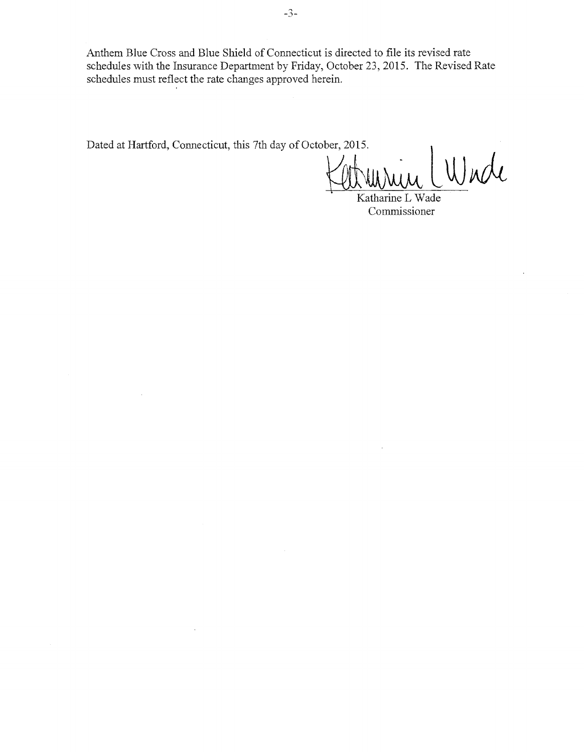Anthem Blue Cross and Blue Shield of Connecticut is directed to file its revised rate schedules with the Insurance Department by Friday, October 23, 2015. The Revised Rate schedules must reflect the rate changes approved herein.

Dated at Hartford, Connecticut, this 7th day of October, 2015.<br>Www. WWWW

Katharine L Wade Commissioner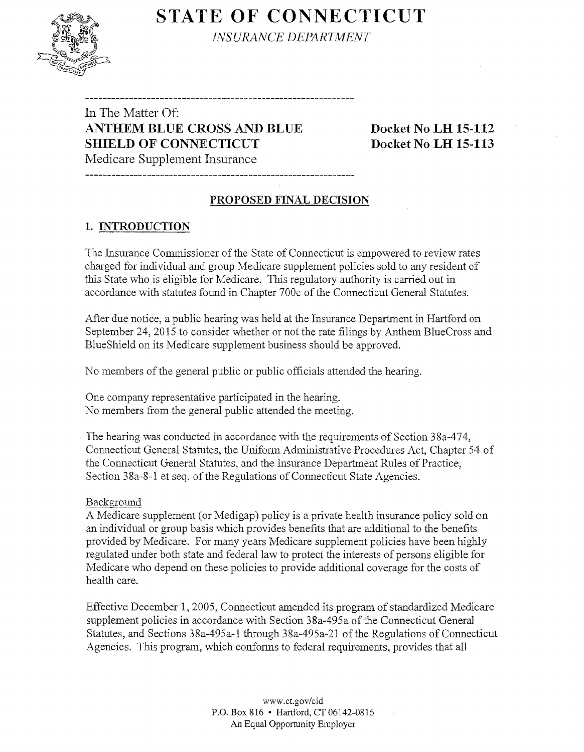# **STATE OF CONNECTICUT**



**INSURANCE DEPARTMENT** 

In The Matter Of: **ANTHEM BLUE CROSS AND BLUE Docket No LH 15-112 SHIELD OF CONNECTICUT Docket No LH 15-113** Medicare Supplement Insurance

## **1. INTRODUCTION**

The Insurance Connnissioner of the State of Connecticut is empowered to review rates charged for individual and group Medicare supplement policies sold to any resident of this State who is eligible for Medicare. This regulatory authority is carried out in accordance with statutes found in Chapter 700c of the Connecticut General Statutes.

**PROPOSED FINAL DECISION** 

After due notice, a public hearing was held at the Insurance Department in Hartford on September 24, 2015 to consider whether or not the rate filings by Anthem BlueCross and BlueShield on its Medicare supplement business should be approved.

No members of the general public or public officials attended the hearing.

One company representative participated in the hearing. No members from the general public attended the meeting.

The hearing was conducted in accordance with the requirements of Section 38a-474, Connecticut General Statutes, the Uniform Administrative Procedures Act, Chapter 54 of the Connecticut General Statutes, and the Insurance Department Rules of Practice, Section 38a-8-1 et seq. of the Regulations of Connecticut State Agencies.

#### Background

A Medicare supplement (or Medigap) policy is a private health insurance policy sold on an individual or group basis which provides benefits that are additional to the benefits provided by Medicare. For many years Medicare supplement policies have been highly regulated under both state and federal law to protect the interests of persons eligible for Medicare who depend on these policies to provide additional coverage for the costs of health care.

Effective December 1, 2005, Connecticut amended its program of standardized Medicare supplement policies in accordance with Section 38a-495a of the Connecticut General Statutes, and Sections 38a-495a-1 through 38a-495a-21 of the Regulations of Connecticut Agencies. This program, which conforms to federal requirements, provides that all

> www.ct.gov/cid P.O. Box 816 • Hartford, CT 06142-0816 An Equal Opportunity Employer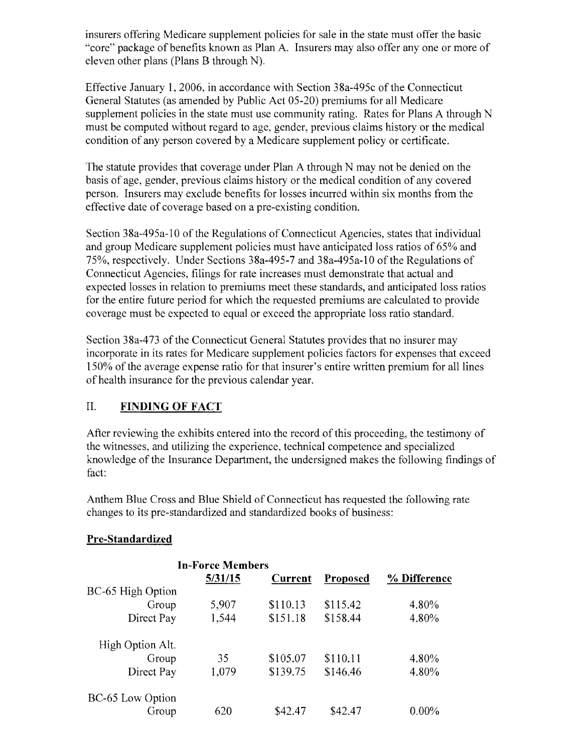insurers offering Medicare supplement policies for sale in the state must offer the basic "core" package of benefits known as Plan A. Insurers may also offer any one or more of eleven other plans (Plans B through N).

Effective January 1, 2006, in accordance with Section 38a-495c of the Connecticut General Statutes (as amended by Public Act 05-20) premiums for all Medicare supplement policies in the state must use community rating. Rates for Plans A through N must be computed without regard to age, gender, previous claims history or the medical condition of any person covered by a Medicare supplement policy or certificate.

The statute provides that coverage under Plan A through N may not be denied on the basis of age, gender, previous claims history or the medical condition of any covered person. Insurers may exclude benefits for losses incurred within six months from the effective date of coverage based on a pre-existing condition.

Section 38a-495a-10 of the Regulations of Connecticut Agencies, states that individual and group Medicare supplement policies must have anticipated loss ratios of 65% and 75%, respectively. Under Sections 38a-495-7 and 38a-495a-1 0 ofthe Regulations of Connecticut Agencies, filings for rate increases must demonstrate that actual and expected losses in relation to premiums meet these standards, and anticipated loss ratios for the entire future period for which the requested premiums are calculated to provide coverage must be expected to equal or exceed the appropriate loss ratio standard.

Section 38a-473 of the Connecticut General Statutes provides that no insurer may incorporate in its rates for Medicare supplement policies factors for expenses that exceed 150% of the average expense ratio for that insurer's entire written premium for all lines of health insurance for the previous calendar year.

#### II. **FINDING OF FACT**

After reviewing the exhibits entered into the record of this proceeding, the testimony of the witnesses, and utilizing the experience, technical competence and specialized knowledge of the Insurance Department, the undersigned makes the following findings of fact:

Anthem Blue Cross and Blue Shield of Connecticut has requested the following rate changes to its pre-standardized and standardized books of business:

#### **Pre-Standardized**

|                   | <b>In-Force Members</b> |          |          |              |
|-------------------|-------------------------|----------|----------|--------------|
|                   | 5/31/15                 | Current  | Proposed | % Difference |
| BC-65 High Option |                         |          |          |              |
| Group             | 5,907                   | \$110.13 | \$115.42 | 4.80%        |
| Direct Pay        | 1,544                   | \$151.18 | \$158.44 | 4.80%        |
| High Option Alt.  |                         |          |          |              |
| Group             | 35                      | \$105.07 | \$110.11 | 4.80%        |
| Direct Pay        | 1,079                   | \$139.75 | \$146.46 | 4.80%        |
| BC-65 Low Option  |                         |          |          |              |
| Group             | 620                     | \$42.47  | \$42.47  | $0.00\%$     |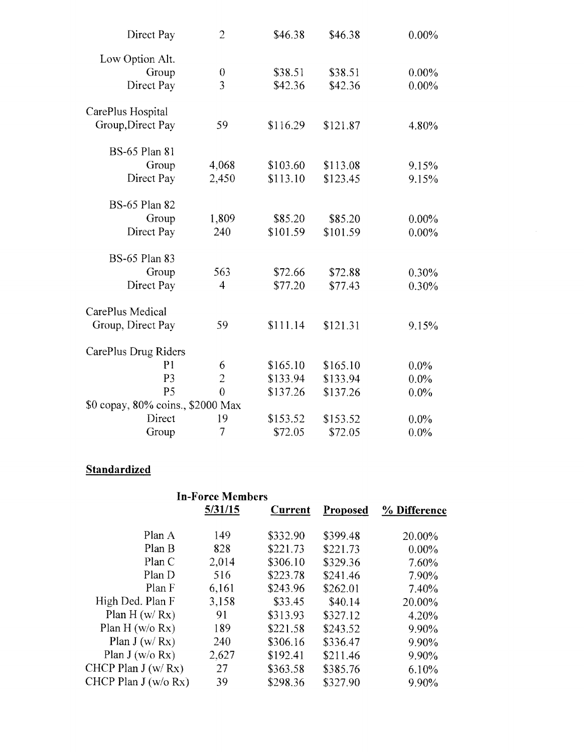| Direct Pay                        | $\overline{2}$ | \$46.38  | \$46.38  | $0.00\%$ |
|-----------------------------------|----------------|----------|----------|----------|
| Low Option Alt.                   |                |          |          |          |
| Group                             | 0              | \$38.51  | \$38.51  | $0.00\%$ |
| Direct Pay                        | $\overline{3}$ | \$42.36  | \$42.36  | $0.00\%$ |
| CarePlus Hospital                 |                |          |          |          |
| Group, Direct Pay                 | 59             | \$116.29 | \$121.87 | 4.80%    |
| <b>BS-65 Plan 81</b>              |                |          |          |          |
| Group                             | 4,068          | \$103.60 | \$113.08 | 9.15%    |
| Direct Pay                        | 2,450          | \$113.10 | \$123.45 | 9.15%    |
| <b>BS-65 Plan 82</b>              |                |          |          |          |
| Group                             | 1,809          | \$85.20  | \$85.20  | $0.00\%$ |
| Direct Pay                        | 240            | \$101.59 | \$101.59 | $0.00\%$ |
| <b>BS-65 Plan 83</b>              |                |          |          |          |
| Group                             | 563            | \$72.66  | \$72.88  | 0.30%    |
| Direct Pay                        | 4              | \$77.20  | \$77.43  | 0.30%    |
| CarePlus Medical                  |                |          |          |          |
| Group, Direct Pay                 | 59             | \$111.14 | \$121.31 | 9.15%    |
| CarePlus Drug Riders              |                |          |          |          |
| P <sub>1</sub>                    | 6              | \$165.10 | \$165.10 | $0.0\%$  |
| P <sub>3</sub>                    | $\overline{2}$ | \$133.94 | \$133.94 | $0.0\%$  |
| P <sub>5</sub>                    | $\overline{0}$ | \$137.26 | \$137.26 | $0.0\%$  |
| \$0 copay, 80% coins., \$2000 Max |                |          |          |          |
| Direct                            | 19             | \$153.52 | \$153.52 | $0.0\%$  |
| Group                             | 7              | \$72.05  | \$72.05  | $0.0\%$  |

### **Standardized**

|                       | <b>In-Force Members</b> |          |          |              |
|-----------------------|-------------------------|----------|----------|--------------|
|                       | 5/31/15                 | Current  | Proposed | % Difference |
| Plan A                | 149                     | \$332.90 | \$399.48 | 20.00%       |
| Plan B                | 828                     | \$221.73 | \$221.73 | $0.00\%$     |
| PlanC                 | 2,014                   | \$306.10 | \$329.36 | 7.60%        |
| Plan D                | 516                     | \$223.78 | \$241.46 | 7.90%        |
| Plan F                | 6,161                   | \$243.96 | \$262.01 | 7.40%        |
| High Ded. Plan F      | 3,158                   | \$33.45  | \$40.14  | 20.00%       |
| Plan $H(w/Rx)$        | 91                      | \$313.93 | \$327.12 | 4.20%        |
| Plan H (w/o Rx)       | 189                     | \$221.58 | \$243.52 | 9.90%        |
| Plan J (w/Rx)         | 240                     | \$306.16 | \$336.47 | 9.90%        |
| Plan $J(w/o Rx)$      | 2,627                   | \$192.41 | \$211.46 | 9.90%        |
| CHCP Plan $J(w/Rx)$   | 27                      | \$363.58 | \$385.76 | 6.10%        |
| CHCP Plan $J(w/o Rx)$ | 39                      | \$298.36 | \$327.90 | 9.90%        |
|                       |                         |          |          |              |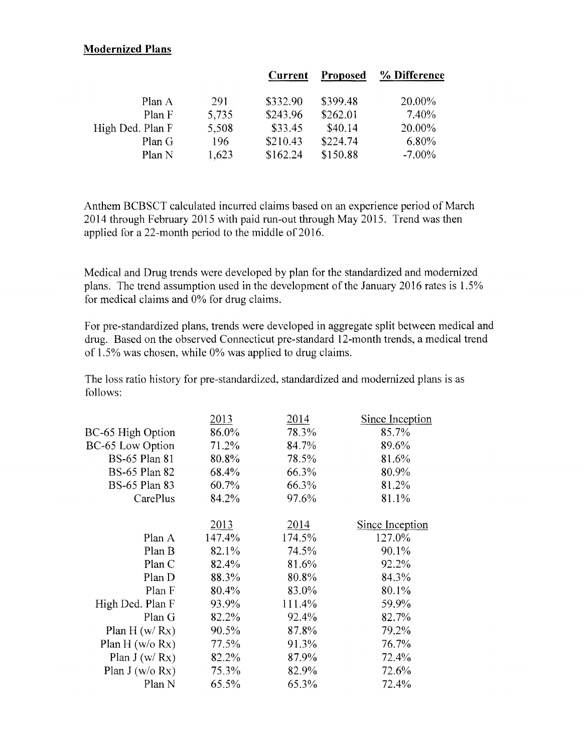#### **Modernized Plans**

|       | Current  | Proposed | % Difference |
|-------|----------|----------|--------------|
| 291   | \$332.90 | \$399.48 | 20.00%       |
| 5,735 | \$243.96 | \$262.01 | 7.40%        |
| 5,508 | \$33.45  | \$40.14  | 20.00%       |
| 196   | \$210.43 | \$224.74 | $6.80\%$     |
| 1,623 | \$162.24 | \$150.88 | $-7.00\%$    |
|       |          |          |              |

Anthem BCBSCT calculated incurred claims based on an experience period of March 2014 through February 2015 with paid run-out through May 2015. Trend was then applied for a 22-month period to the middle of 2016.

Medical and Drug trends were developed by plan for the standardized and modernized plans. The trend assumption used in the development of the January 2016 rates is 1.5% for medical claims and 0% for drug claims.

For pre-standardized plans, trends were developed in aggregate split between medical and drug. Based on the observed Connecticut pre-standard 12-month trends, a medical trend of 1.5% was chosen, while 0% was applied to drug claims.

The loss ratio history for pre-standardized, standardized and modernized plans is as follows:

|                      | 2013   | 2014   | Since Inception |
|----------------------|--------|--------|-----------------|
| BC-65 High Option    | 86.0%  | 78.3%  | 85.7%           |
| BC-65 Low Option     | 71.2%  | 84.7%  | 89.6%           |
| <b>BS-65 Plan 81</b> | 80.8%  | 78.5%  | 81.6%           |
| <b>BS-65 Plan 82</b> | 68.4%  | 66.3%  | 80.9%           |
| <b>BS-65 Plan 83</b> | 60.7%  | 66.3%  | 81.2%           |
| CarePlus             | 84.2%  | 97.6%  | 81.1%           |
|                      | 2013   | 2014   | Since Inception |
| Plan A               | 147.4% | 174.5% | 127.0%          |
| Plan B               | 82.1%  | 74.5%  | 90.1%           |
| Plan C               | 82.4%  | 81.6%  | 92.2%           |
| Plan D               | 88.3%  | 80.8%  | 84.3%           |
| Plan F               | 80.4%  | 83.0%  | 80.1%           |
| High Ded. Plan F     | 93.9%  | 111.4% | 59,9%           |
| Plan G               | 82.2%  | 92.4%  | 82.7%           |
| Plan $H(w/Rx)$       | 90.5%  | 87.8%  | 79.2%           |
| Plan H ( $w/o$ Rx)   | 77.5%  | 91.3%  | 76.7%           |
| Plan $J(w/Rx)$       | 82.2%  | 87.9%  | 72.4%           |
| Plan $J(w/o Rx)$     | 75.3%  | 82.9%  | 72.6%           |
| Plan N               | 65.5%  | 65.3%  | 72.4%           |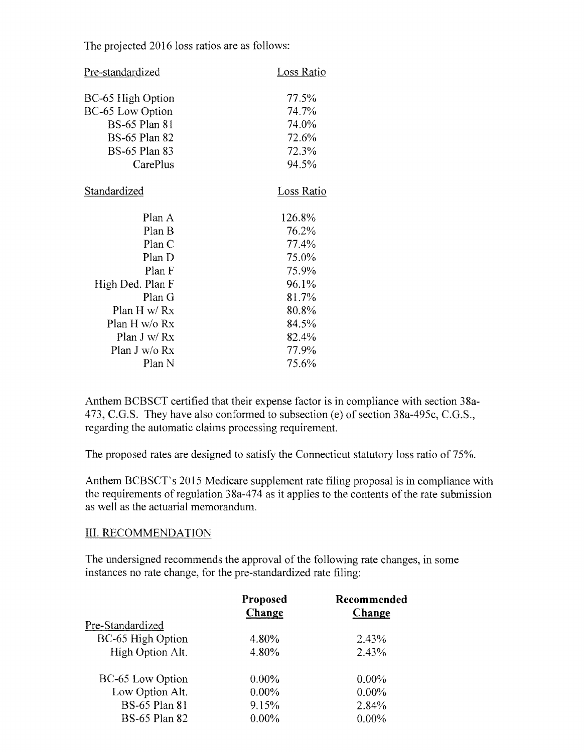The projected 2016 loss ratios are as follows:

| Pre-standardized     | Loss Ratio |
|----------------------|------------|
| BC-65 High Option    | 77.5%      |
| BC-65 Low Option     | 74.7%      |
| <b>BS-65 Plan 81</b> | 74.0%      |
| <b>BS-65 Plan 82</b> | 72.6%      |
| <b>BS-65 Plan 83</b> | 72.3%      |
| CarePlus             | 94.5%      |
| Standardized         | Loss Ratio |
| Plan A               | 126.8%     |
| Plan B               | 76.2%      |
| Plan C               | 77.4%      |
| Plan D               | 75.0%      |
| Plan F               | 75.9%      |
| High Ded. Plan F     | 96.1%      |
| Plan G               | 81.7%      |
| Plan H w/ $Rx$       | 80.8%      |
| Plan H w/o Rx        | 84.5%      |
| Plan J w/ Rx         | 82.4%      |
| Plan J w/o Rx        | 77.9%      |
| Plan N               | 75.6%      |

Anthem BCBSCT certified that their expense factor is in compliance with section 38a-473, C.G.S. They have also conformed to subsection (e) of section 38a-495c, C.G.S., regarding the automatic claims processing requirement.

The proposed rates are designed to satisfy the Connecticut statutory loss ratio of 75%.

Anthem BCBSCT's 2015 Medicare supplement rate filing proposal is in compliance with the requirements of regulation  $38a-474$  as it applies to the contents of the rate submission as well as the actuarial memorandum.

#### III. RECOMMENDATION

The undersigned recommends the approval of the following rate changes, in some instances no rate change, for the pre-standardized rate filing:

|                      | Proposed<br>Change | Recommended<br>Change |
|----------------------|--------------------|-----------------------|
| Pre-Standardized     |                    |                       |
| BC-65 High Option    | 4.80%              | 2.43%                 |
| High Option Alt.     | 4.80%              | 2.43%                 |
| BC-65 Low Option     | $0.00\%$           | $0.00\%$              |
| Low Option Alt.      | $0.00\%$           | $0.00\%$              |
| <b>BS-65 Plan 81</b> | 9.15%              | 2.84%                 |
| <b>BS-65 Plan 82</b> | $0.00\%$           | $0.00\%$              |